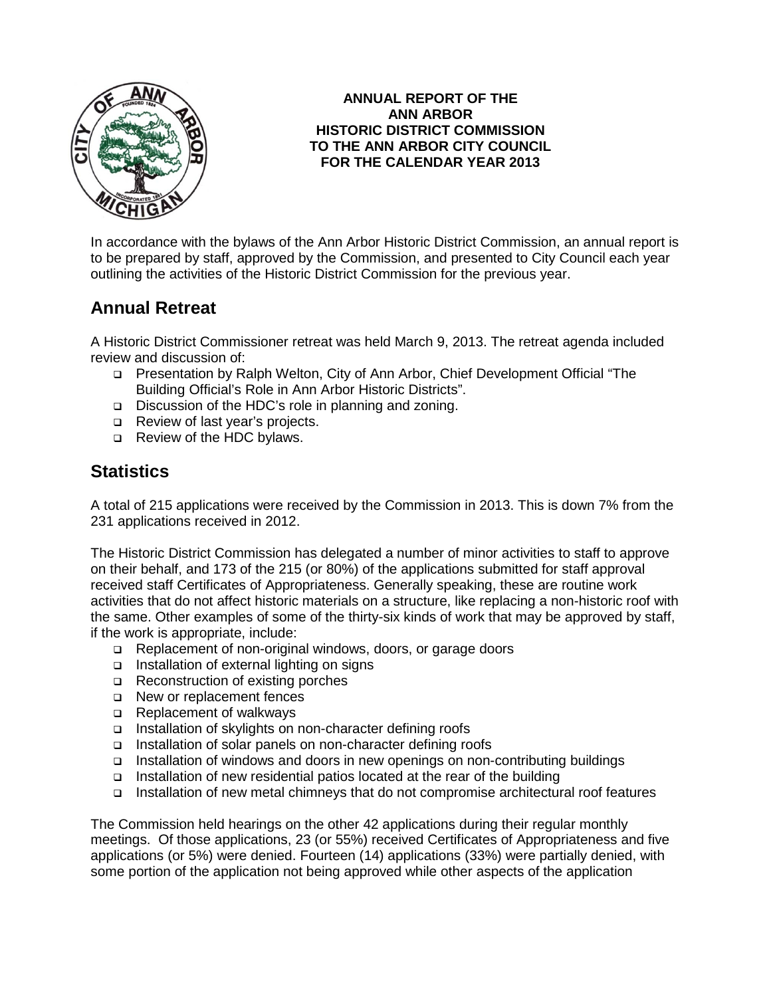

### **ANNUAL REPORT OF THE ANN ARBOR HISTORIC DISTRICT COMMISSION TO THE ANN ARBOR CITY COUNCIL FOR THE CALENDAR YEAR 2013**

In accordance with the bylaws of the Ann Arbor Historic District Commission, an annual report is to be prepared by staff, approved by the Commission, and presented to City Council each year outlining the activities of the Historic District Commission for the previous year.

# **Annual Retreat**

A Historic District Commissioner retreat was held March 9, 2013. The retreat agenda included review and discussion of:

- Presentation by Ralph Welton, City of Ann Arbor, Chief Development Official "The Building Official's Role in Ann Arbor Historic Districts".
- □ Discussion of the HDC's role in planning and zoning.
- Review of last year's projects.
- Review of the HDC bylaws.

# **Statistics**

A total of 215 applications were received by the Commission in 2013. This is down 7% from the 231 applications received in 2012.

The Historic District Commission has delegated a number of minor activities to staff to approve on their behalf, and 173 of the 215 (or 80%) of the applications submitted for staff approval received staff Certificates of Appropriateness. Generally speaking, these are routine work activities that do not affect historic materials on a structure, like replacing a non-historic roof with the same. Other examples of some of the thirty-six kinds of work that may be approved by staff, if the work is appropriate, include:

- □ Replacement of non-original windows, doors, or garage doors
- □ Installation of external lighting on signs
- □ Reconstruction of existing porches
- □ New or replacement fences
- □ Replacement of walkways
- □ Installation of skylights on non-character defining roofs
- □ Installation of solar panels on non-character defining roofs
- Installation of windows and doors in new openings on non-contributing buildings
- □ Installation of new residential patios located at the rear of the building
- Installation of new metal chimneys that do not compromise architectural roof features

The Commission held hearings on the other 42 applications during their regular monthly meetings. Of those applications, 23 (or 55%) received Certificates of Appropriateness and five applications (or 5%) were denied. Fourteen (14) applications (33%) were partially denied, with some portion of the application not being approved while other aspects of the application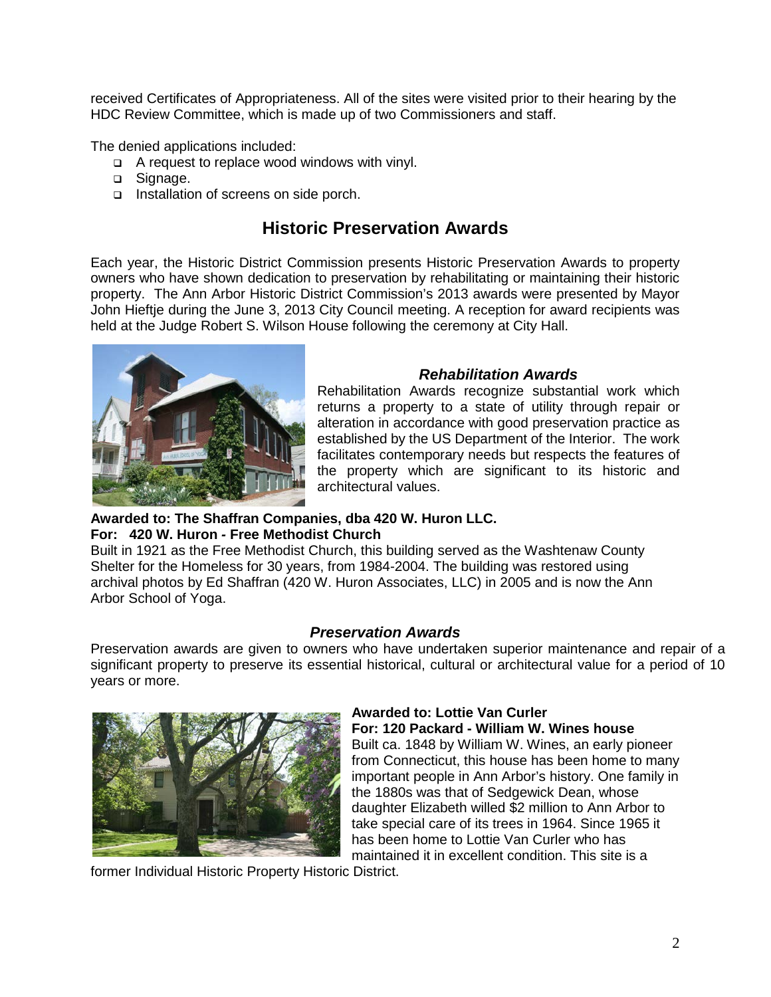received Certificates of Appropriateness. All of the sites were visited prior to their hearing by the HDC Review Committee, which is made up of two Commissioners and staff.

The denied applications included:

- $\Box$  A request to replace wood windows with vinyl.
- □ Signage.
- Installation of screens on side porch.

# **Historic Preservation Awards**

Each year, the Historic District Commission presents Historic Preservation Awards to property owners who have shown dedication to preservation by rehabilitating or maintaining their historic property. The Ann Arbor Historic District Commission's 2013 awards were presented by Mayor John Hieftje during the June 3, 2013 City Council meeting. A reception for award recipients was held at the Judge Robert S. Wilson House following the ceremony at City Hall.



### *Rehabilitation Awards*

Rehabilitation Awards recognize substantial work which returns a property to a state of utility through repair or alteration in accordance with good preservation practice as established by the US Department of the Interior. The work facilitates contemporary needs but respects the features of the property which are significant to its historic and architectural values.

#### **Awarded to: The Shaffran Companies, dba 420 W. Huron LLC. For: 420 W. Huron** *-* **Free Methodist Church**

Built in 1921 as the Free Methodist Church, this building served as the Washtenaw County Shelter for the Homeless for 30 years, from 1984-2004. The building was restored using

archival photos by Ed Shaffran (420 W. Huron Associates, LLC) in 2005 and is now the Ann Arbor School of Yoga.

### *Preservation Awards*

Preservation awards are given to owners who have undertaken superior maintenance and repair of a significant property to preserve its essential historical, cultural or architectural value for a period of 10 years or more.



#### **Awarded to: Lottie Van Curler For: 120 Packard - William W. Wines house**

Built ca. 1848 by William W. Wines, an early pioneer from Connecticut, this house has been home to many important people in Ann Arbor's history. One family in the 1880s was that of Sedgewick Dean, whose daughter Elizabeth willed \$2 million to Ann Arbor to take special care of its trees in 1964. Since 1965 it has been home to Lottie Van Curler who has maintained it in excellent condition. This site is a

former Individual Historic Property Historic District.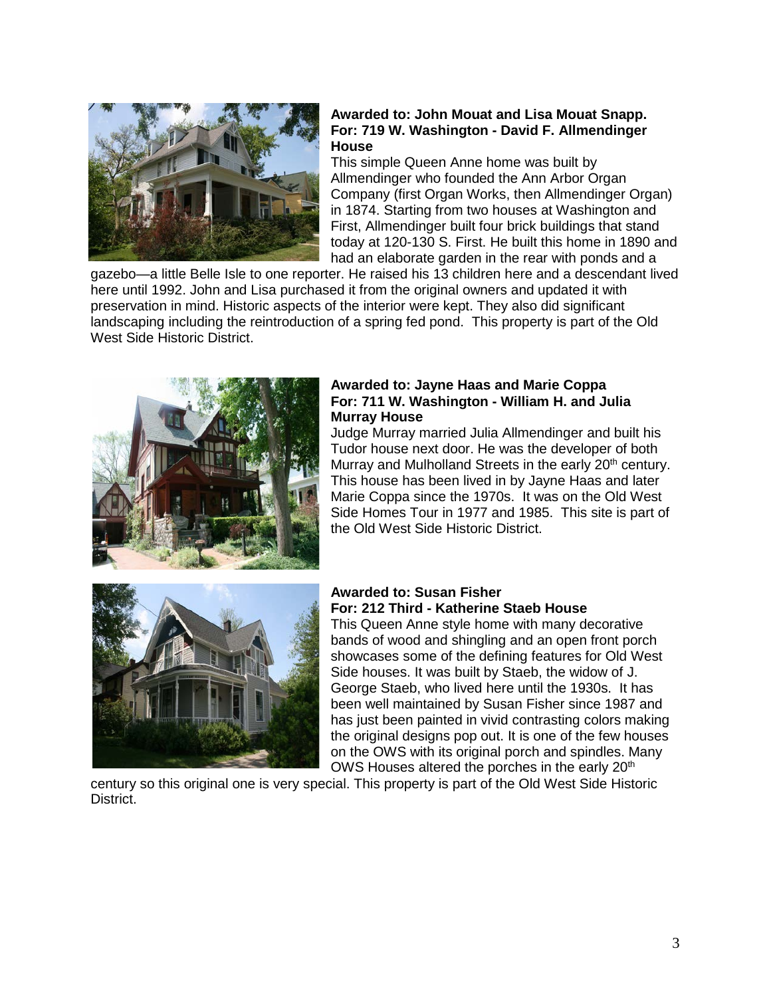

#### **Awarded to: John Mouat and Lisa Mouat Snapp. For: 719 W. Washington - David F. Allmendinger House**

This simple Queen Anne home was built by Allmendinger who founded the Ann Arbor Organ Company (first Organ Works, then Allmendinger Organ) in 1874. Starting from two houses at Washington and First, Allmendinger built four brick buildings that stand today at 120-130 S. First. He built this home in 1890 and had an elaborate garden in the rear with ponds and a

gazebo—a little Belle Isle to one reporter. He raised his 13 children here and a descendant lived here until 1992. John and Lisa purchased it from the original owners and updated it with preservation in mind. Historic aspects of the interior were kept. They also did significant landscaping including the reintroduction of a spring fed pond. This property is part of the Old West Side Historic District.



#### **Awarded to: Jayne Haas and Marie Coppa For: 711 W. Washington - William H. and Julia Murray House**

Judge Murray married Julia Allmendinger and built his Tudor house next door. He was the developer of both Murray and Mulholland Streets in the early 20<sup>th</sup> century. This house has been lived in by Jayne Haas and later Marie Coppa since the 1970s. It was on the Old West Side Homes Tour in 1977 and 1985. This site is part of the Old West Side Historic District.



## **Awarded to: Susan Fisher For: 212 Third - Katherine Staeb House**

This Queen Anne style home with many decorative bands of wood and shingling and an open front porch showcases some of the defining features for Old West Side houses. It was built by Staeb, the widow of J. George Staeb, who lived here until the 1930s. It has been well maintained by Susan Fisher since 1987 and has just been painted in vivid contrasting colors making the original designs pop out. It is one of the few houses on the OWS with its original porch and spindles. Many OWS Houses altered the porches in the early 20<sup>th</sup>

century so this original one is very special. This property is part of the Old West Side Historic District.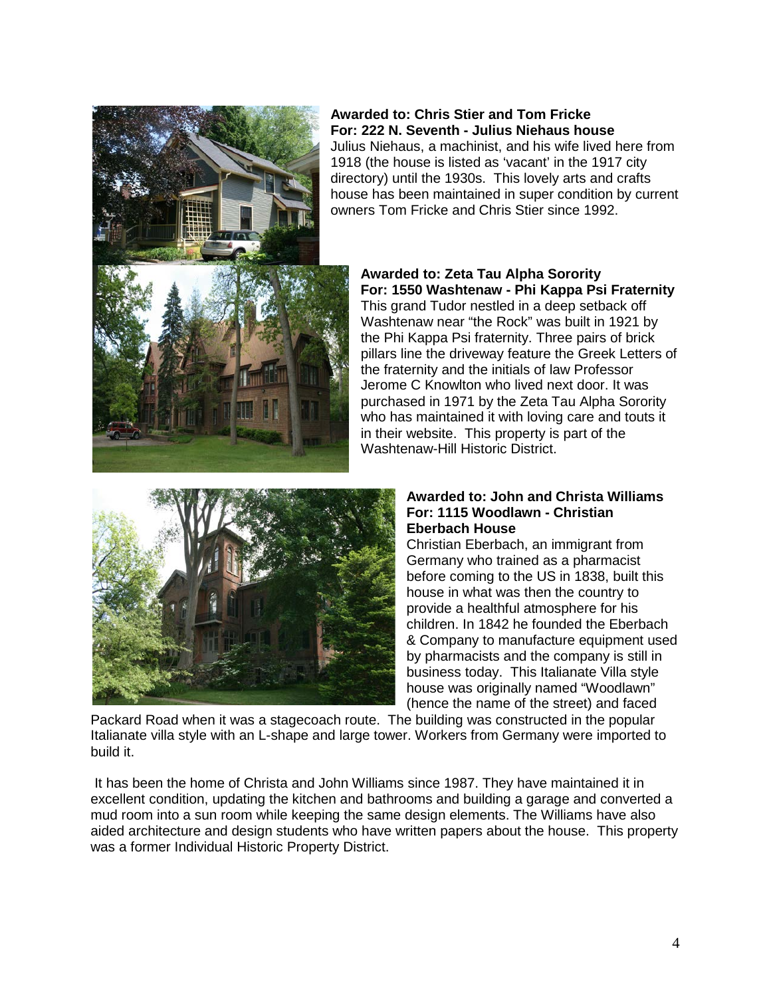

## **Awarded to: Chris Stier and Tom Fricke For: 222 N. Seventh - Julius Niehaus house**

Julius Niehaus, a machinist, and his wife lived here from 1918 (the house is listed as 'vacant' in the 1917 city directory) until the 1930s. This lovely arts and crafts house has been maintained in super condition by current owners Tom Fricke and Chris Stier since 1992.



#### **Awarded to: Zeta Tau Alpha Sorority For: 1550 Washtenaw - Phi Kappa Psi Fraternity** This grand Tudor nestled in a deep setback off Washtenaw near "the Rock" was built in 1921 by the Phi Kappa Psi fraternity. Three pairs of brick pillars line the driveway feature the Greek Letters of the fraternity and the initials of law Professor Jerome C Knowlton who lived next door. It was purchased in 1971 by the Zeta Tau Alpha Sorority who has maintained it with loving care and touts it

in their website. This property is part of the

Washtenaw-Hill Historic District.



#### **Awarded to: John and Christa Williams For: 1115 Woodlawn - Christian Eberbach House**

Christian Eberbach, an immigrant from Germany who trained as a pharmacist before coming to the US in 1838, built this house in what was then the country to provide a healthful atmosphere for his children. In 1842 he founded the Eberbach & Company to manufacture equipment used by pharmacists and the company is still in business today. This Italianate Villa style house was originally named "Woodlawn" (hence the name of the street) and faced

Packard Road when it was a stagecoach route. The building was constructed in the popular Italianate villa style with an L-shape and large tower. Workers from Germany were imported to build it.

It has been the home of Christa and John Williams since 1987. They have maintained it in excellent condition, updating the kitchen and bathrooms and building a garage and converted a mud room into a sun room while keeping the same design elements. The Williams have also aided architecture and design students who have written papers about the house. This property was a former Individual Historic Property District.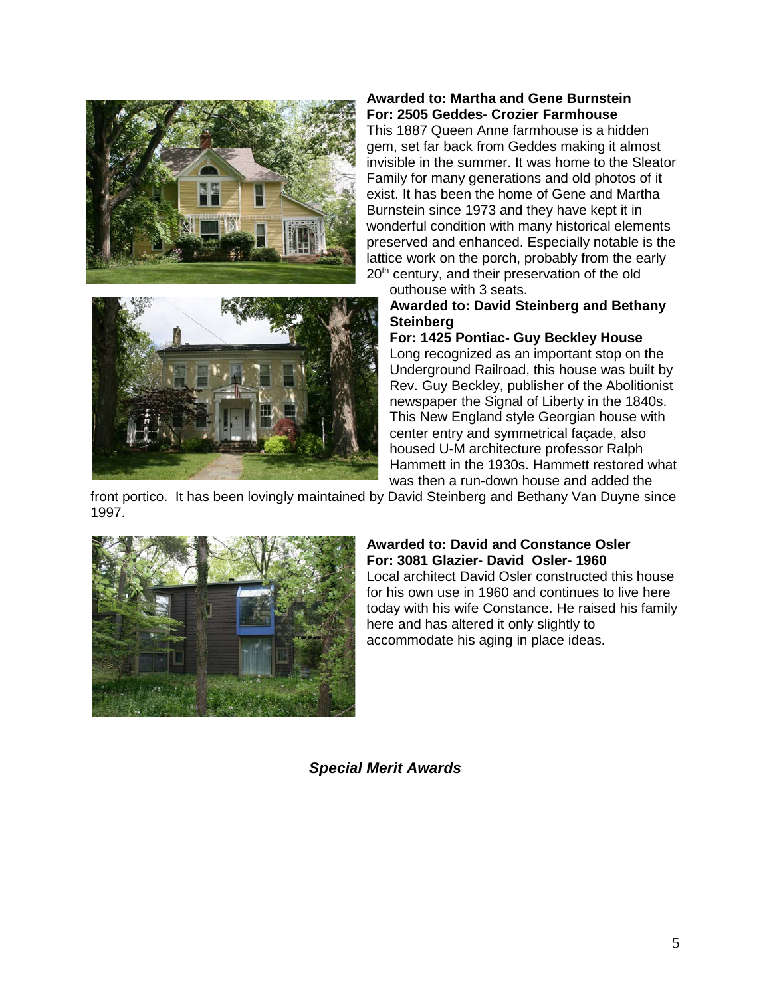



#### **Awarded to: Martha and Gene Burnstein For: 2505 Geddes- Crozier Farmhouse**

This 1887 Queen Anne farmhouse is a hidden gem, set far back from Geddes making it almost invisible in the summer. It was home to the Sleator Family for many generations and old photos of it exist. It has been the home of Gene and Martha Burnstein since 1973 and they have kept it in wonderful condition with many historical elements preserved and enhanced. Especially notable is the lattice work on the porch, probably from the early 20<sup>th</sup> century, and their preservation of the old

outhouse with 3 seats. **Awarded to: David Steinberg and Bethany Steinberg** 

**For: 1425 Pontiac- Guy Beckley House** Long recognized as an important stop on the Underground Railroad, this house was built by Rev. Guy Beckley, publisher of the Abolitionist newspaper the Signal of Liberty in the 1840s. This New England style Georgian house with center entry and symmetrical façade, also housed U-M architecture professor Ralph Hammett in the 1930s. Hammett restored what was then a run-down house and added the

front portico. It has been lovingly maintained by David Steinberg and Bethany Van Duyne since 1997.



# **Awarded to: David and Constance Osler For: 3081 Glazier- David Osler- 1960**

Local architect David Osler constructed this house for his own use in 1960 and continues to live here today with his wife Constance. He raised his family here and has altered it only slightly to accommodate his aging in place ideas.

*Special Merit Awards*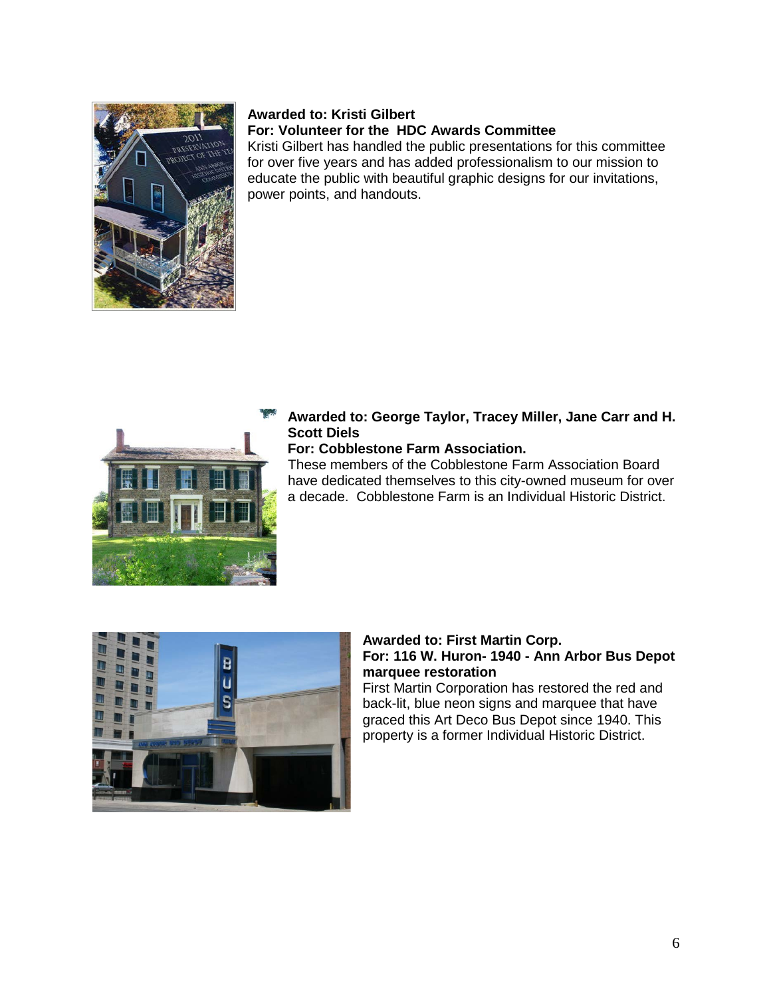

### **Awarded to: Kristi Gilbert For: Volunteer for the HDC Awards Committee**

Kristi Gilbert has handled the public presentations for this committee for over five years and has added professionalism to our mission to educate the public with beautiful graphic designs for our invitations, power points, and handouts.



## **Awarded to: George Taylor, Tracey Miller, Jane Carr and H. Scott Diels**

## **For: Cobblestone Farm Association.**

These members of the Cobblestone Farm Association Board have dedicated themselves to this city-owned museum for over a decade. Cobblestone Farm is an Individual Historic District.



### **Awarded to: First Martin Corp. For: 116 W. Huron- 1940 - Ann Arbor Bus Depot marquee restoration**

First Martin Corporation has restored the red and back-lit, blue neon signs and marquee that have graced this Art Deco Bus Depot since 1940. This property is a former Individual Historic District.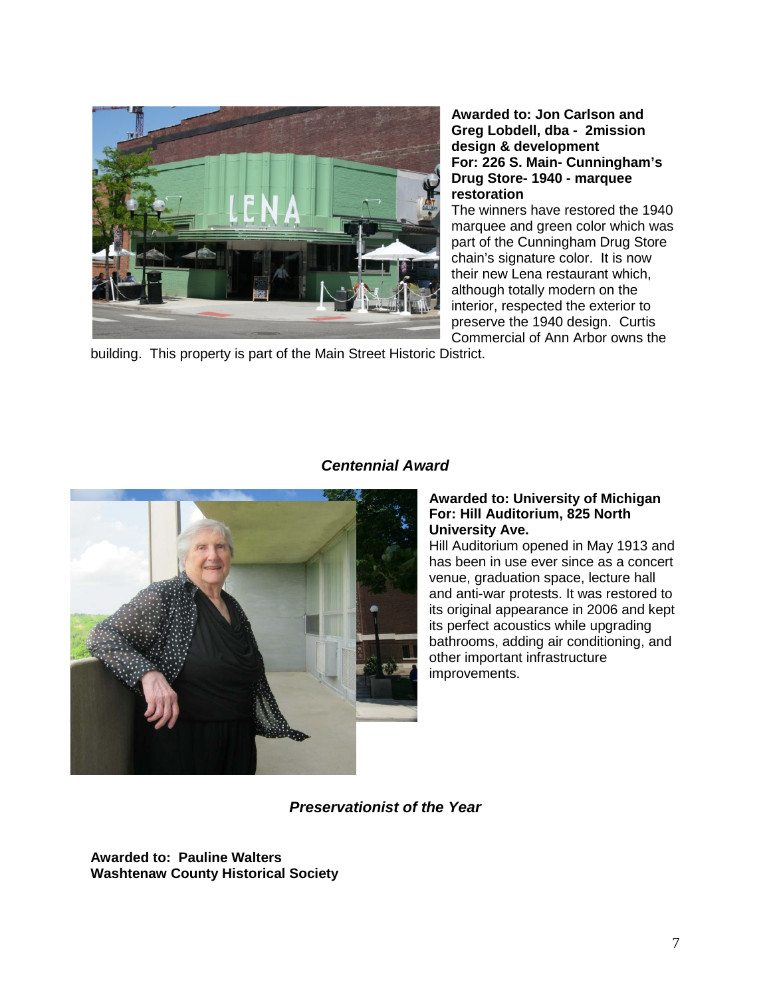

#### **Awarded to: Jon Carlson and Greg Lobdell, dba - 2mission design & development For: 226 S. Main- Cunningham's Drug Store- 1940 - marquee restoration**

The winners have restored the 1940 marquee and green color which was part of the Cunningham Drug Store chain's signature color. It is now their new Lena restaurant which, although totally modern on the interior, respected the exterior to preserve the 1940 design. Curtis Commercial of Ann Arbor owns the

building. This property is part of the Main Street Historic District.



# *Centennial Award*

#### **Awarded to: University of Michigan For: Hill Auditorium, 825 North University Ave.**

Hill Auditorium opened in May 1913 and has been in use ever since as a concert venue, graduation space, lecture hall and anti-war protests. It was restored to its original appearance in 2006 and kept its perfect acoustics while upgrading bathrooms, adding air conditioning, and other important infrastructure improvements.

## *Preservationist of the Year*

**Awarded to: Pauline Walters Washtenaw County Historical Society**